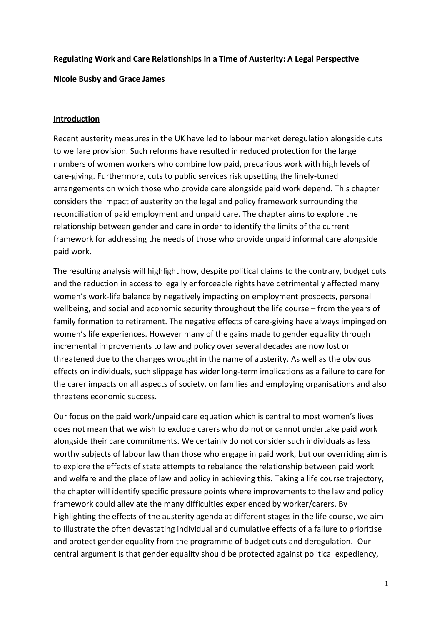### **Regulating Work and Care Relationships in a Time of Austerity: A Legal Perspective**

**Nicole Busby and Grace James**

# **Introduction**

Recent austerity measures in the UK have led to labour market deregulation alongside cuts to welfare provision. Such reforms have resulted in reduced protection for the large numbers of women workers who combine low paid, precarious work with high levels of care-giving. Furthermore, cuts to public services risk upsetting the finely-tuned arrangements on which those who provide care alongside paid work depend. This chapter considers the impact of austerity on the legal and policy framework surrounding the reconciliation of paid employment and unpaid care. The chapter aims to explore the relationship between gender and care in order to identify the limits of the current framework for addressing the needs of those who provide unpaid informal care alongside paid work.

The resulting analysis will highlight how, despite political claims to the contrary, budget cuts and the reduction in access to legally enforceable rights have detrimentally affected many women's work-life balance by negatively impacting on employment prospects, personal wellbeing, and social and economic security throughout the life course – from the years of family formation to retirement. The negative effects of care-giving have always impinged on women's life experiences. However many of the gains made to gender equality through incremental improvements to law and policy over several decades are now lost or threatened due to the changes wrought in the name of austerity. As well as the obvious effects on individuals, such slippage has wider long-term implications as a failure to care for the carer impacts on all aspects of society, on families and employing organisations and also threatens economic success.

Our focus on the paid work/unpaid care equation which is central to most women's lives does not mean that we wish to exclude carers who do not or cannot undertake paid work alongside their care commitments. We certainly do not consider such individuals as less worthy subjects of labour law than those who engage in paid work, but our overriding aim is to explore the effects of state attempts to rebalance the relationship between paid work and welfare and the place of law and policy in achieving this. Taking a life course trajectory, the chapter will identify specific pressure points where improvements to the law and policy framework could alleviate the many difficulties experienced by worker/carers. By highlighting the effects of the austerity agenda at different stages in the life course, we aim to illustrate the often devastating individual and cumulative effects of a failure to prioritise and protect gender equality from the programme of budget cuts and deregulation. Our central argument is that gender equality should be protected against political expediency,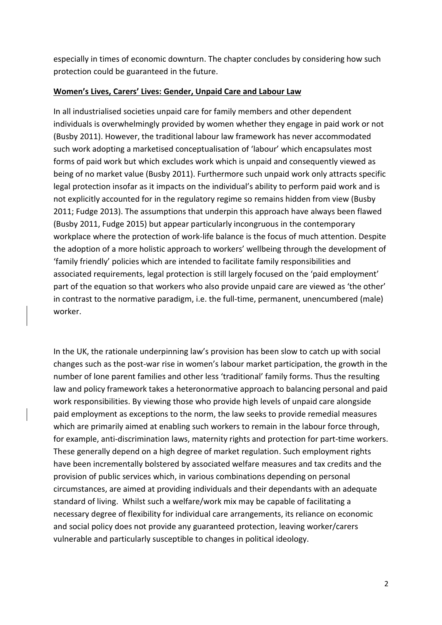especially in times of economic downturn. The chapter concludes by considering how such protection could be guaranteed in the future.

## **Women's Lives, Carers' Lives: Gender, Unpaid Care and Labour Law**

In all industrialised societies unpaid care for family members and other dependent individuals is overwhelmingly provided by women whether they engage in paid work or not (Busby 2011). However, the traditional labour law framework has never accommodated such work adopting a marketised conceptualisation of 'labour' which encapsulates most forms of paid work but which excludes work which is unpaid and consequently viewed as being of no market value (Busby 2011). Furthermore such unpaid work only attracts specific legal protection insofar as it impacts on the individual's ability to perform paid work and is not explicitly accounted for in the regulatory regime so remains hidden from view (Busby 2011; Fudge 2013). The assumptions that underpin this approach have always been flawed (Busby 2011, Fudge 2015) but appear particularly incongruous in the contemporary workplace where the protection of work-life balance is the focus of much attention. Despite the adoption of a more holistic approach to workers' wellbeing through the development of 'family friendly' policies which are intended to facilitate family responsibilities and associated requirements, legal protection is still largely focused on the 'paid employment' part of the equation so that workers who also provide unpaid care are viewed as 'the other' in contrast to the normative paradigm, i.e. the full-time, permanent, unencumbered (male) worker.

In the UK, the rationale underpinning law's provision has been slow to catch up with social changes such as the post-war rise in women's labour market participation, the growth in the number of lone parent families and other less 'traditional' family forms. Thus the resulting law and policy framework takes a heteronormative approach to balancing personal and paid work responsibilities. By viewing those who provide high levels of unpaid care alongside paid employment as exceptions to the norm, the law seeks to provide remedial measures which are primarily aimed at enabling such workers to remain in the labour force through, for example, anti-discrimination laws, maternity rights and protection for part-time workers. These generally depend on a high degree of market regulation. Such employment rights have been incrementally bolstered by associated welfare measures and tax credits and the provision of public services which, in various combinations depending on personal circumstances, are aimed at providing individuals and their dependants with an adequate standard of living. Whilst such a welfare/work mix may be capable of facilitating a necessary degree of flexibility for individual care arrangements, its reliance on economic and social policy does not provide any guaranteed protection, leaving worker/carers vulnerable and particularly susceptible to changes in political ideology.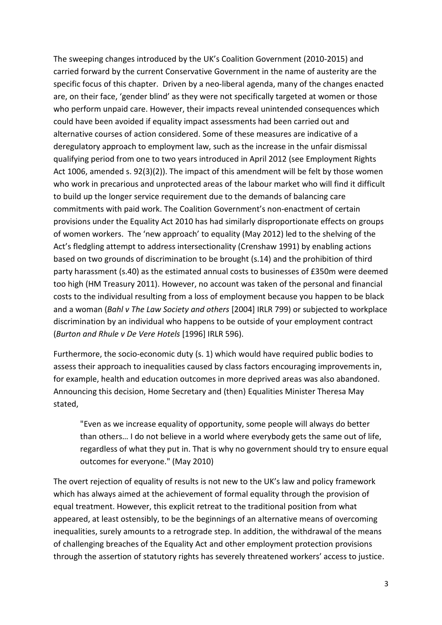The sweeping changes introduced by the UK's Coalition Government (2010-2015) and carried forward by the current Conservative Government in the name of austerity are the specific focus of this chapter. Driven by a neo-liberal agenda, many of the changes enacted are, on their face, 'gender blind' as they were not specifically targeted at women or those who perform unpaid care. However, their impacts reveal unintended consequences which could have been avoided if equality impact assessments had been carried out and alternative courses of action considered. Some of these measures are indicative of a deregulatory approach to employment law, such as the increase in the unfair dismissal qualifying period from one to two years introduced in April 2012 (see Employment Rights Act 1006, amended s. 92(3)(2)). The impact of this amendment will be felt by those women who work in precarious and unprotected areas of the labour market who will find it difficult to build up the longer service requirement due to the demands of balancing care commitments with paid work. The Coalition Government's non-enactment of certain provisions under the Equality Act 2010 has had similarly disproportionate effects on groups of women workers. The 'new approach' to equality (May 2012) led to the shelving of the Act's fledgling attempt to address intersectionality (Crenshaw 1991) by enabling actions based on two grounds of discrimination to be brought (s.14) and the prohibition of third party harassment (s.40) as the estimated annual costs to businesses of £350m were deemed too high (HM Treasury 2011). However, no account was taken of the personal and financial costs to the individual resulting from a loss of employment because you happen to be black and a woman (*Bahl v The Law Society and others* [2004] IRLR 799) or subjected to workplace discrimination by an individual who happens to be outside of your employment contract (*Burton and Rhule v De Vere Hotels* [1996] IRLR 596).

Furthermore, the socio-economic duty (s. 1) which would have required public bodies to assess their approach to inequalities caused by class factors encouraging improvements in, for example, health and education outcomes in more deprived areas was also abandoned. Announcing this decision, Home Secretary and (then) Equalities Minister Theresa May stated,

"Even as we increase equality of opportunity, some people will always do better than others… I do not believe in a world where everybody gets the same out of life, regardless of what they put in. That is why no government should try to ensure equal outcomes for everyone." (May 2010)

The overt rejection of equality of results is not new to the UK's law and policy framework which has always aimed at the achievement of formal equality through the provision of equal treatment. However, this explicit retreat to the traditional position from what appeared, at least ostensibly, to be the beginnings of an alternative means of overcoming inequalities, surely amounts to a retrograde step. In addition, the withdrawal of the means of challenging breaches of the Equality Act and other employment protection provisions through the assertion of statutory rights has severely threatened workers' access to justice.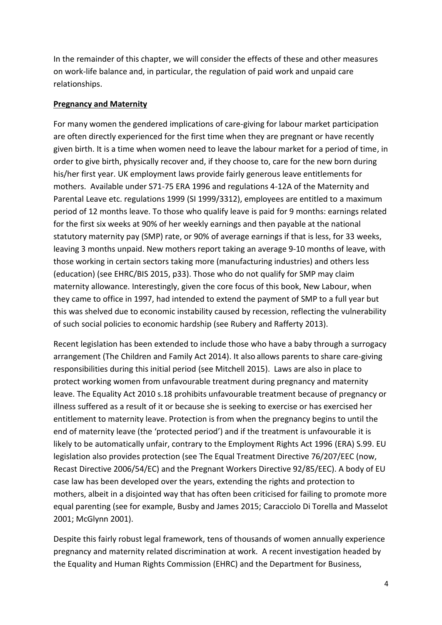In the remainder of this chapter, we will consider the effects of these and other measures on work-life balance and, in particular, the regulation of paid work and unpaid care relationships.

#### **Pregnancy and Maternity**

For many women the gendered implications of care-giving for labour market participation are often directly experienced for the first time when they are pregnant or have recently given birth. It is a time when women need to leave the labour market for a period of time, in order to give birth, physically recover and, if they choose to, care for the new born during his/her first year. UK employment laws provide fairly generous leave entitlements for mothers. Available under S71-75 ERA 1996 and regulations 4-12A of the Maternity and Parental Leave etc. regulations 1999 (SI 1999/3312), employees are entitled to a maximum period of 12 months leave. To those who qualify leave is paid for 9 months: earnings related for the first six weeks at 90% of her weekly earnings and then payable at the national statutory maternity pay (SMP) rate, or 90% of average earnings if that is less, for 33 weeks, leaving 3 months unpaid. New mothers report taking an average 9-10 months of leave, with those working in certain sectors taking more (manufacturing industries) and others less (education) (see EHRC/BIS 2015, p33). Those who do not qualify for SMP may claim maternity allowance. Interestingly, given the core focus of this book, New Labour, when they came to office in 1997, had intended to extend the payment of SMP to a full year but this was shelved due to economic instability caused by recession, reflecting the vulnerability of such social policies to economic hardship (see Rubery and Rafferty 2013).

Recent legislation has been extended to include those who have a baby through a surrogacy arrangement (The Children and Family Act 2014). It also allows parents to share care-giving responsibilities during this initial period (see Mitchell 2015). Laws are also in place to protect working women from unfavourable treatment during pregnancy and maternity leave. The Equality Act 2010 s.18 prohibits unfavourable treatment because of pregnancy or illness suffered as a result of it or because she is seeking to exercise or has exercised her entitlement to maternity leave. Protection is from when the pregnancy begins to until the end of maternity leave (the 'protected period') and if the treatment is unfavourable it is likely to be automatically unfair, contrary to the Employment Rights Act 1996 (ERA) S.99. EU legislation also provides protection (see The Equal Treatment Directive 76/207/EEC (now, Recast Directive 2006/54/EC) and the Pregnant Workers Directive 92/85/EEC). A body of EU case law has been developed over the years, extending the rights and protection to mothers, albeit in a disjointed way that has often been criticised for failing to promote more equal parenting (see for example, Busby and James 2015; Caracciolo Di Torella and Masselot 2001; McGlynn 2001).

Despite this fairly robust legal framework, tens of thousands of women annually experience pregnancy and maternity related discrimination at work. A recent investigation headed by the Equality and Human Rights Commission (EHRC) and the Department for Business,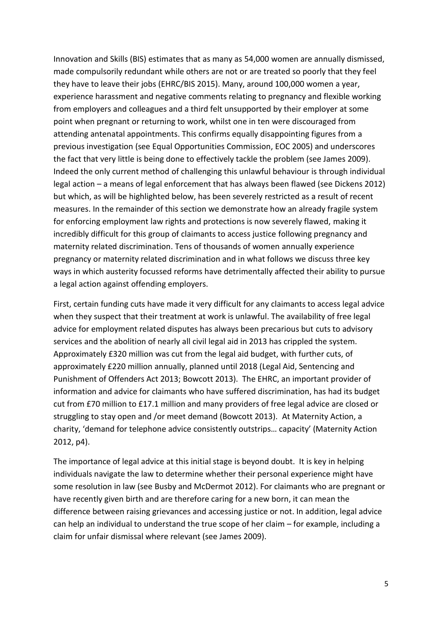Innovation and Skills (BIS) estimates that as many as 54,000 women are annually dismissed, made compulsorily redundant while others are not or are treated so poorly that they feel they have to leave their jobs (EHRC/BIS 2015). Many, around 100,000 women a year, experience harassment and negative comments relating to pregnancy and flexible working from employers and colleagues and a third felt unsupported by their employer at some point when pregnant or returning to work, whilst one in ten were discouraged from attending antenatal appointments. This confirms equally disappointing figures from a previous investigation (see Equal Opportunities Commission, EOC 2005) and underscores the fact that very little is being done to effectively tackle the problem (see James 2009). Indeed the only current method of challenging this unlawful behaviour is through individual legal action – a means of legal enforcement that has always been flawed (see Dickens 2012) but which, as will be highlighted below, has been severely restricted as a result of recent measures. In the remainder of this section we demonstrate how an already fragile system for enforcing employment law rights and protections is now severely flawed, making it incredibly difficult for this group of claimants to access justice following pregnancy and maternity related discrimination. Tens of thousands of women annually experience pregnancy or maternity related discrimination and in what follows we discuss three key ways in which austerity focussed reforms have detrimentally affected their ability to pursue a legal action against offending employers.

First, certain funding cuts have made it very difficult for any claimants to access legal advice when they suspect that their treatment at work is unlawful. The availability of free legal advice for employment related disputes has always been precarious but cuts to advisory services and the abolition of nearly all civil legal aid in 2013 has crippled the system. Approximately £320 million was cut from the legal aid budget, with further cuts, of approximately £220 million annually, planned until 2018 (Legal Aid, Sentencing and Punishment of Offenders Act 2013; Bowcott 2013). The EHRC, an important provider of information and advice for claimants who have suffered discrimination, has had its budget cut from £70 million to £17.1 million and many providers of free legal advice are closed or struggling to stay open and /or meet demand (Bowcott 2013). At Maternity Action, a charity, 'demand for telephone advice consistently outstrips… capacity' (Maternity Action 2012, p4).

The importance of legal advice at this initial stage is beyond doubt. It is key in helping individuals navigate the law to determine whether their personal experience might have some resolution in law (see Busby and McDermot 2012). For claimants who are pregnant or have recently given birth and are therefore caring for a new born, it can mean the difference between raising grievances and accessing justice or not. In addition, legal advice can help an individual to understand the true scope of her claim – for example, including a claim for unfair dismissal where relevant (see James 2009).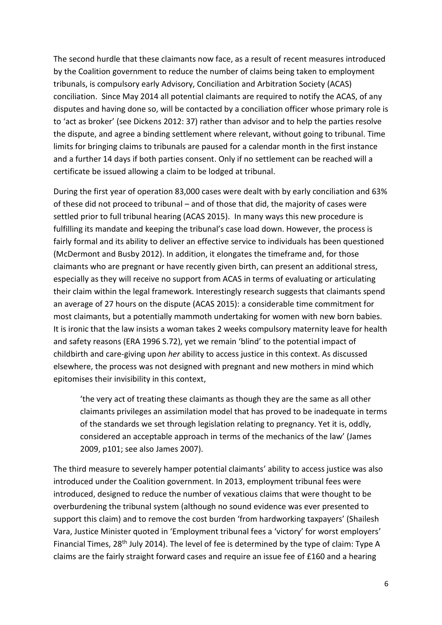The second hurdle that these claimants now face, as a result of recent measures introduced by the Coalition government to reduce the number of claims being taken to employment tribunals, is compulsory early Advisory, Conciliation and Arbitration Society (ACAS) conciliation. Since May 2014 all potential claimants are required to notify the ACAS, of any disputes and having done so, will be contacted by a conciliation officer whose primary role is to 'act as broker' (see Dickens 2012: 37) rather than advisor and to help the parties resolve the dispute, and agree a binding settlement where relevant, without going to tribunal. Time limits for bringing claims to tribunals are paused for a calendar month in the first instance and a further 14 days if both parties consent. Only if no settlement can be reached will a certificate be issued allowing a claim to be lodged at tribunal.

During the first year of operation 83,000 cases were dealt with by early conciliation and 63% of these did not proceed to tribunal – and of those that did, the majority of cases were settled prior to full tribunal hearing (ACAS 2015). In many ways this new procedure is fulfilling its mandate and keeping the tribunal's case load down. However, the process is fairly formal and its ability to deliver an effective service to individuals has been questioned (McDermont and Busby 2012). In addition, it elongates the timeframe and, for those claimants who are pregnant or have recently given birth, can present an additional stress, especially as they will receive no support from ACAS in terms of evaluating or articulating their claim within the legal framework. Interestingly research suggests that claimants spend an average of 27 hours on the dispute (ACAS 2015): a considerable time commitment for most claimants, but a potentially mammoth undertaking for women with new born babies. It is ironic that the law insists a woman takes 2 weeks compulsory maternity leave for health and safety reasons (ERA 1996 S.72), yet we remain 'blind' to the potential impact of childbirth and care-giving upon *her* ability to access justice in this context. As discussed elsewhere, the process was not designed with pregnant and new mothers in mind which epitomises their invisibility in this context,

'the very act of treating these claimants as though they are the same as all other claimants privileges an assimilation model that has proved to be inadequate in terms of the standards we set through legislation relating to pregnancy. Yet it is, oddly, considered an acceptable approach in terms of the mechanics of the law' (James 2009, p101; see also James 2007).

The third measure to severely hamper potential claimants' ability to access justice was also introduced under the Coalition government. In 2013, employment tribunal fees were introduced, designed to reduce the number of vexatious claims that were thought to be overburdening the tribunal system (although no sound evidence was ever presented to support this claim) and to remove the cost burden 'from hardworking taxpayers' (Shailesh Vara, Justice Minister quoted in 'Employment tribunal fees a 'victory' for worst employers' Financial Times, 28<sup>th</sup> July 2014). The level of fee is determined by the type of claim: Type A claims are the fairly straight forward cases and require an issue fee of £160 and a hearing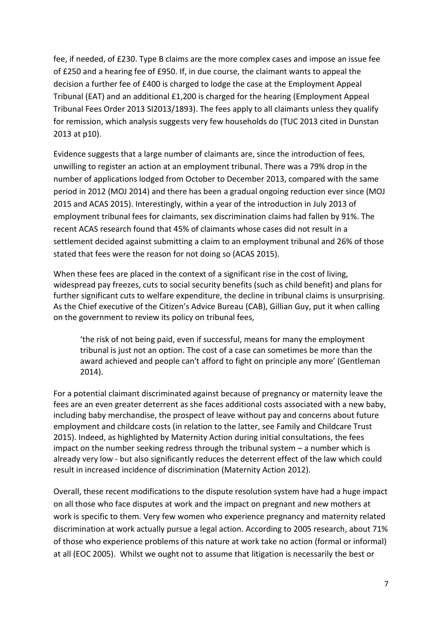fee, if needed, of £230. Type B claims are the more complex cases and impose an issue fee of £250 and a hearing fee of £950. If, in due course, the claimant wants to appeal the decision a further fee of £400 is charged to lodge the case at the Employment Appeal Tribunal (EAT) and an additional £1,200 is charged for the hearing (Employment Appeal Tribunal Fees Order 2013 SI2013/1893). The fees apply to all claimants unless they qualify for remission, which analysis suggests very few households do (TUC 2013 cited in Dunstan 2013 at p10).

Evidence suggests that a large number of claimants are, since the introduction of fees, unwilling to register an action at an employment tribunal. There was a 79% drop in the number of applications lodged from October to December 2013, compared with the same period in 2012 (MOJ 2014) and there has been a gradual ongoing reduction ever since (MOJ 2015 and ACAS 2015). Interestingly, within a year of the introduction in July 2013 of employment tribunal fees for claimants, sex discrimination claims had fallen by 91%. The recent ACAS research found that 45% of claimants whose cases did not result in a settlement decided against submitting a claim to an employment tribunal and 26% of those stated that fees were the reason for not doing so (ACAS 2015).

When these fees are placed in the context of a significant rise in the cost of living, widespread pay freezes, cuts to social security benefits (such as child benefit) and plans for further significant cuts to welfare expenditure, the decline in tribunal claims is unsurprising. As the Chief executive of the Citizen's Advice Bureau (CAB), Gillian Guy, put it when calling on the government to review its policy on tribunal fees,

'the risk of not being paid, even if successful, means for many the employment tribunal is just not an option. The cost of a case can sometimes be more than the award achieved and people can't afford to fight on principle any more' (Gentleman 2014).

For a potential claimant discriminated against because of pregnancy or maternity leave the fees are an even greater deterrent as she faces additional costs associated with a new baby, including baby merchandise, the prospect of leave without pay and concerns about future employment and childcare costs (in relation to the latter, see Family and Childcare Trust 2015). Indeed, as highlighted by Maternity Action during initial consultations, the fees impact on the number seeking redress through the tribunal system – a number which is already very low - but also significantly reduces the deterrent effect of the law which could result in increased incidence of discrimination (Maternity Action 2012).

Overall, these recent modifications to the dispute resolution system have had a huge impact on all those who face disputes at work and the impact on pregnant and new mothers at work is specific to them. Very few women who experience pregnancy and maternity related discrimination at work actually pursue a legal action. According to 2005 research, about 71% of those who experience problems of this nature at work take no action (formal or informal) at all (EOC 2005). Whilst we ought not to assume that litigation is necessarily the best or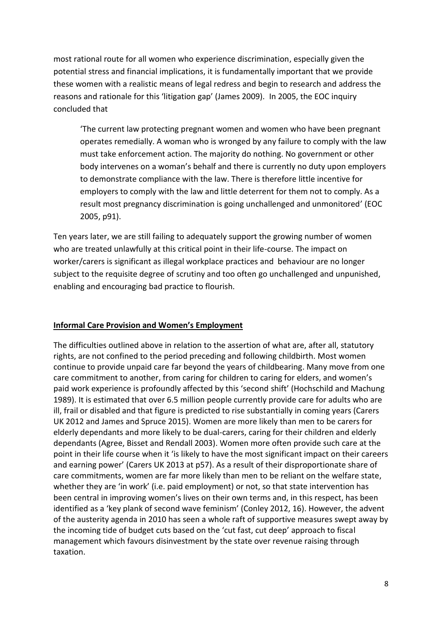most rational route for all women who experience discrimination, especially given the potential stress and financial implications, it is fundamentally important that we provide these women with a realistic means of legal redress and begin to research and address the reasons and rationale for this 'litigation gap' (James 2009). In 2005, the EOC inquiry concluded that

'The current law protecting pregnant women and women who have been pregnant operates remedially. A woman who is wronged by any failure to comply with the law must take enforcement action. The majority do nothing. No government or other body intervenes on a woman's behalf and there is currently no duty upon employers to demonstrate compliance with the law. There is therefore little incentive for employers to comply with the law and little deterrent for them not to comply. As a result most pregnancy discrimination is going unchallenged and unmonitored' (EOC 2005, p91).

Ten years later, we are still failing to adequately support the growing number of women who are treated unlawfully at this critical point in their life-course. The impact on worker/carers is significant as illegal workplace practices and behaviour are no longer subject to the requisite degree of scrutiny and too often go unchallenged and unpunished, enabling and encouraging bad practice to flourish.

# **Informal Care Provision and Women's Employment**

The difficulties outlined above in relation to the assertion of what are, after all, statutory rights, are not confined to the period preceding and following childbirth. Most women continue to provide unpaid care far beyond the years of childbearing. Many move from one care commitment to another, from caring for children to caring for elders, and women's paid work experience is profoundly affected by this 'second shift' (Hochschild and Machung 1989). It is estimated that over 6.5 million people currently provide care for adults who are ill, frail or disabled and that figure is predicted to rise substantially in coming years (Carers UK 2012 and James and Spruce 2015). Women are more likely than men to be carers for elderly dependants and more likely to be dual-carers, caring for their children and elderly dependants (Agree, Bisset and Rendall 2003). Women more often provide such care at the point in their life course when it 'is likely to have the most significant impact on their careers and earning power' (Carers UK 2013 at p57). As a result of their disproportionate share of care commitments, women are far more likely than men to be reliant on the welfare state, whether they are 'in work' (i.e. paid employment) or not, so that state intervention has been central in improving women's lives on their own terms and, in this respect, has been identified as a 'key plank of second wave feminism' (Conley 2012, 16). However, the advent of the austerity agenda in 2010 has seen a whole raft of supportive measures swept away by the incoming tide of budget cuts based on the 'cut fast, cut deep' approach to fiscal management which favours disinvestment by the state over revenue raising through taxation.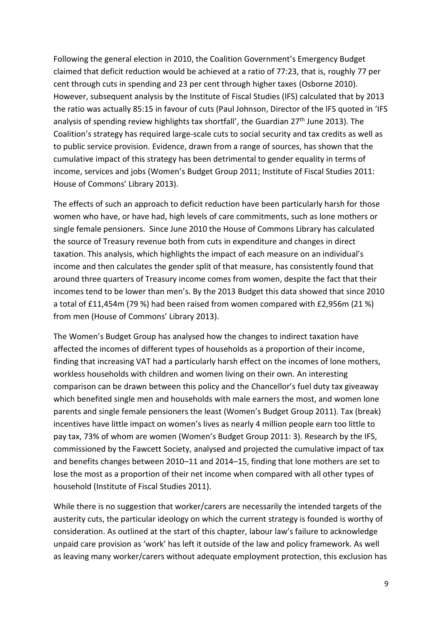Following the general election in 2010, the Coalition Government's Emergency Budget claimed that deficit reduction would be achieved at a ratio of 77:23, that is, roughly 77 per cent through cuts in spending and 23 per cent through higher taxes (Osborne 2010). However, subsequent analysis by the Institute of Fiscal Studies (IFS) calculated that by 2013 the ratio was actually 85:15 in favour of cuts (Paul Johnson, Director of the IFS quoted in 'IFS analysis of spending review highlights tax shortfall', the Guardian  $27<sup>th</sup>$  June 2013). The Coalition's strategy has required large-scale cuts to social security and tax credits as well as to public service provision. Evidence, drawn from a range of sources, has shown that the cumulative impact of this strategy has been detrimental to gender equality in terms of income, services and jobs (Women's Budget Group 2011; Institute of Fiscal Studies 2011: House of Commons' Library 2013).

The effects of such an approach to deficit reduction have been particularly harsh for those women who have, or have had, high levels of care commitments, such as lone mothers or single female pensioners. Since June 2010 the House of Commons Library has calculated the source of Treasury revenue both from cuts in expenditure and changes in direct taxation. This analysis, which highlights the impact of each measure on an individual's income and then calculates the gender split of that measure, has consistently found that around three quarters of Treasury income comes from women, despite the fact that their incomes tend to be lower than men's. By the 2013 Budget this data showed that since 2010 a total of £11,454m (79 %) had been raised from women compared with £2,956m (21 %) from men (House of Commons' Library 2013).

The Women's Budget Group has analysed how the changes to indirect taxation have affected the incomes of different types of households as a proportion of their income, finding that increasing VAT had a particularly harsh effect on the incomes of lone mothers, workless households with children and women living on their own. An interesting comparison can be drawn between this policy and the Chancellor's fuel duty tax giveaway which benefited single men and households with male earners the most, and women lone parents and single female pensioners the least (Women's Budget Group 2011). Tax (break) incentives have little impact on women's lives as nearly 4 million people earn too little to pay tax, 73% of whom are women (Women's Budget Group 2011: 3). Research by the IFS, commissioned by the Fawcett Society, analysed and projected the cumulative impact of tax and benefits changes between 2010–11 and 2014–15, finding that lone mothers are set to lose the most as a proportion of their net income when compared with all other types of household (Institute of Fiscal Studies 2011).

While there is no suggestion that worker/carers are necessarily the intended targets of the austerity cuts, the particular ideology on which the current strategy is founded is worthy of consideration. As outlined at the start of this chapter, labour law's failure to acknowledge unpaid care provision as 'work' has left it outside of the law and policy framework. As well as leaving many worker/carers without adequate employment protection, this exclusion has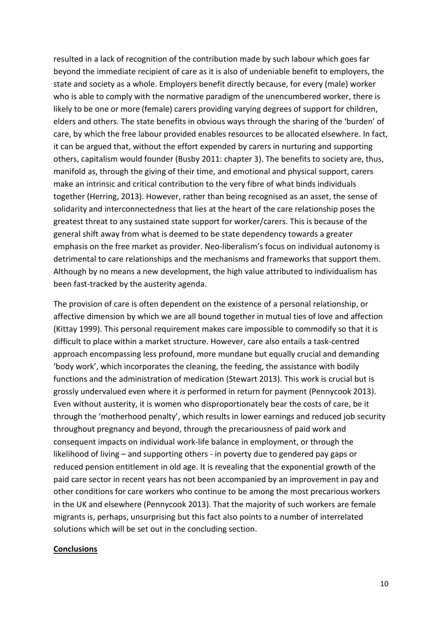resulted in a lack of recognition of the contribution made by such labour which goes far beyond the immediate recipient of care as it is also of undeniable benefit to employers, the state and society as a whole. Employers benefit directly because, for every (male) worker who is able to comply with the normative paradigm of the unencumbered worker, there is likely to be one or more (female) carers providing varying degrees of support for children, elders and others. The state benefits in obvious ways through the sharing of the 'burden' of care, by which the free labour provided enables resources to be allocated elsewhere. In fact, it can be argued that, without the effort expended by carers in nurturing and supporting others, capitalism would founder (Busby 2011: chapter 3). The benefits to society are, thus, manifold as, through the giving of their time, and emotional and physical support, carers make an intrinsic and critical contribution to the very fibre of what binds individuals together (Herring, 2013). However, rather than being recognised as an asset, the sense of solidarity and interconnectedness that lies at the heart of the care relationship poses the greatest threat to any sustained state support for worker/carers. This is because of the general shift away from what is deemed to be state dependency towards a greater emphasis on the free market as provider. Neo-liberalism's focus on individual autonomy is detrimental to care relationships and the mechanisms and frameworks that support them. Although by no means a new development, the high value attributed to individualism has been fast-tracked by the austerity agenda.

The provision of care is often dependent on the existence of a personal relationship, or affective dimension by which we are all bound together in mutual ties of love and affection (Kittay 1999). This personal requirement makes care impossible to commodify so that it is difficult to place within a market structure. However, care also entails a task-centred approach encompassing less profound, more mundane but equally crucial and demanding 'body work', which incorporates the cleaning, the feeding, the assistance with bodily functions and the administration of medication (Stewart 2013). This work is crucial but is grossly undervalued even where it *is* performed in return for payment (Pennycook 2013). Even without austerity, it is women who disproportionately bear the costs of care, be it through the 'motherhood penalty', which results in lower earnings and reduced job security throughout pregnancy and beyond, through the precariousness of paid work and consequent impacts on individual work-life balance in employment, or through the likelihood of living – and supporting others - in poverty due to gendered pay gaps or reduced pension entitlement in old age. It is revealing that the exponential growth of the paid care sector in recent years has not been accompanied by an improvement in pay and other conditions for care workers who continue to be among the most precarious workers in the UK and elsewhere (Pennycook 2013). That the majority of such workers are female migrants is, perhaps, unsurprising but this fact also points to a number of interrelated solutions which will be set out in the concluding section.

#### **Conclusions**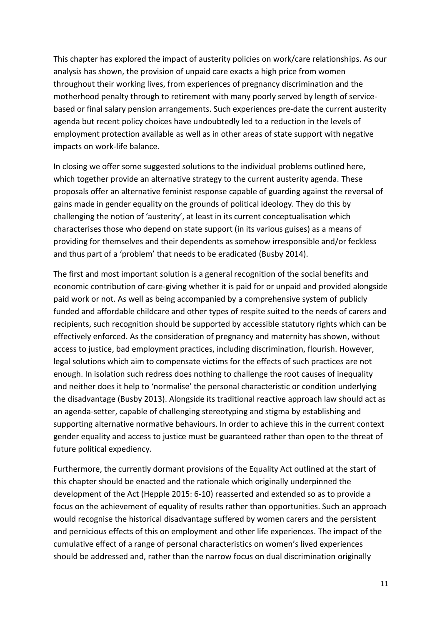This chapter has explored the impact of austerity policies on work/care relationships. As our analysis has shown, the provision of unpaid care exacts a high price from women throughout their working lives, from experiences of pregnancy discrimination and the motherhood penalty through to retirement with many poorly served by length of servicebased or final salary pension arrangements. Such experiences pre-date the current austerity agenda but recent policy choices have undoubtedly led to a reduction in the levels of employment protection available as well as in other areas of state support with negative impacts on work-life balance.

In closing we offer some suggested solutions to the individual problems outlined here, which together provide an alternative strategy to the current austerity agenda. These proposals offer an alternative feminist response capable of guarding against the reversal of gains made in gender equality on the grounds of political ideology. They do this by challenging the notion of 'austerity', at least in its current conceptualisation which characterises those who depend on state support (in its various guises) as a means of providing for themselves and their dependents as somehow irresponsible and/or feckless and thus part of a 'problem' that needs to be eradicated (Busby 2014).

The first and most important solution is a general recognition of the social benefits and economic contribution of care-giving whether it is paid for or unpaid and provided alongside paid work or not. As well as being accompanied by a comprehensive system of publicly funded and affordable childcare and other types of respite suited to the needs of carers and recipients, such recognition should be supported by accessible statutory rights which can be effectively enforced. As the consideration of pregnancy and maternity has shown, without access to justice, bad employment practices, including discrimination, flourish. However, legal solutions which aim to compensate victims for the effects of such practices are not enough. In isolation such redress does nothing to challenge the root causes of inequality and neither does it help to 'normalise' the personal characteristic or condition underlying the disadvantage (Busby 2013). Alongside its traditional reactive approach law should act as an agenda-setter, capable of challenging stereotyping and stigma by establishing and supporting alternative normative behaviours. In order to achieve this in the current context gender equality and access to justice must be guaranteed rather than open to the threat of future political expediency.

Furthermore, the currently dormant provisions of the Equality Act outlined at the start of this chapter should be enacted and the rationale which originally underpinned the development of the Act (Hepple 2015: 6-10) reasserted and extended so as to provide a focus on the achievement of equality of results rather than opportunities. Such an approach would recognise the historical disadvantage suffered by women carers and the persistent and pernicious effects of this on employment and other life experiences. The impact of the cumulative effect of a range of personal characteristics on women's lived experiences should be addressed and, rather than the narrow focus on dual discrimination originally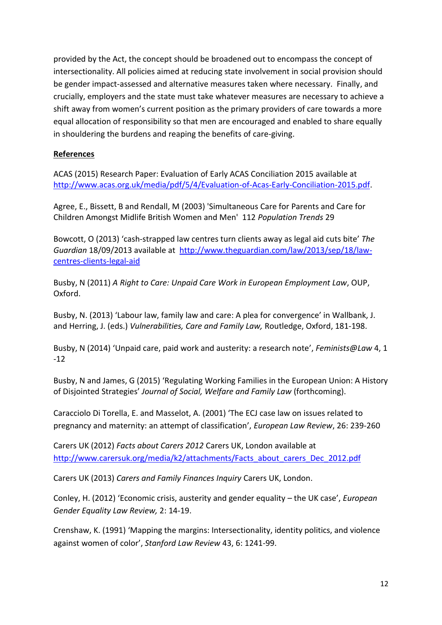provided by the Act, the concept should be broadened out to encompass the concept of intersectionality. All policies aimed at reducing state involvement in social provision should be gender impact-assessed and alternative measures taken where necessary. Finally, and crucially, employers and the state must take whatever measures are necessary to achieve a shift away from women's current position as the primary providers of care towards a more equal allocation of responsibility so that men are encouraged and enabled to share equally in shouldering the burdens and reaping the benefits of care-giving.

# **References**

ACAS (2015) Research Paper: Evaluation of Early ACAS Conciliation 2015 available at [http://www.acas.org.uk/media/pdf/5/4/Evaluation-of-Acas-Early-Conciliation-2015.pdf.](http://www.acas.org.uk/media/pdf/5/4/Evaluation-of-Acas-Early-Conciliation-2015.pdf)

Agree, E., Bissett, B and Rendall, M (2003) 'Simultaneous Care for Parents and Care for Children Amongst Midlife British Women and Men' 112 *Population Trends* 29

Bowcott, O (2013) 'cash-strapped law centres turn clients away as legal aid cuts bite' *The Guardian* 18/09/2013 available at [http://www.theguardian.com/law/2013/sep/18/law](http://www.theguardian.com/law/2013/sep/18/law-centres-clients-legal-aid)[centres-clients-legal-aid](http://www.theguardian.com/law/2013/sep/18/law-centres-clients-legal-aid)

Busby, N (2011) *A Right to Care: Unpaid Care Work in European Employment Law*, OUP, Oxford.

Busby, N. (2013) 'Labour law, family law and care: A plea for convergence' in Wallbank, J. and Herring, J. (eds.) *Vulnerabilities, Care and Family Law,* Routledge, Oxford, 181-198.

Busby, N (2014) 'Unpaid care, paid work and austerity: a research note', *Feminists@Law* 4, 1 -12

Busby, N and James, G (2015) 'Regulating Working Families in the European Union: A History of Disjointed Strategies' *Journal of Social, Welfare and Family Law* (forthcoming).

Caracciolo Di Torella, E. and Masselot, A. (2001) 'The ECJ case law on issues related to pregnancy and maternity: an attempt of classification', *European Law Review*, 26: 239-260

Carers UK (2012) *Facts about Carers 2012* Carers UK, London available at [http://www.carersuk.org/media/k2/attachments/Facts\\_about\\_carers\\_Dec\\_2012.pdf](http://www.carersuk.org/media/k2/attachments/Facts_about_carers_Dec_2012.pdf)

Carers UK (2013) *Carers and Family Finances Inquiry* Carers UK, London.

Conley, H. (2012) 'Economic crisis, austerity and gender equality – the UK case', *European Gender Equality Law Review,* 2: 14-19.

Crenshaw, K. (1991) 'Mapping the margins: Intersectionality, identity politics, and violence against women of color', *Stanford Law Review* 43, 6: 1241-99.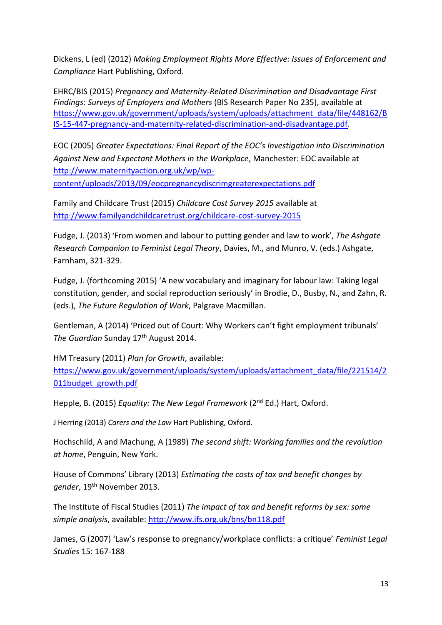Dickens, L (ed) (2012) *Making Employment Rights More Effective: Issues of Enforcement and Compliance* Hart Publishing, Oxford.

EHRC/BIS (2015) *Pregnancy and Maternity-Related Discrimination and Disadvantage First Findings: Surveys of Employers and Mothers* (BIS Research Paper No 235), available at [https://www.gov.uk/government/uploads/system/uploads/attachment\\_data/file/448162/B](https://www.gov.uk/government/uploads/system/uploads/attachment_data/file/448162/BIS-15-447-pregnancy-and-maternity-related-discrimination-and-disadvantage.pdf) [IS-15-447-pregnancy-and-maternity-related-discrimination-and-disadvantage.pdf.](https://www.gov.uk/government/uploads/system/uploads/attachment_data/file/448162/BIS-15-447-pregnancy-and-maternity-related-discrimination-and-disadvantage.pdf)

EOC (2005) *Greater Expectations: Final Report of the EOC's Investigation into Discrimination Against New and Expectant Mothers in the Workplace*, Manchester: EOC available at [http://www.maternityaction.org.uk/wp/wp](http://www.maternityaction.org.uk/wp/wp-content/uploads/2013/09/eocpregnancydiscrimgreaterexpectations.pdf)[content/uploads/2013/09/eocpregnancydiscrimgreaterexpectations.pdf](http://www.maternityaction.org.uk/wp/wp-content/uploads/2013/09/eocpregnancydiscrimgreaterexpectations.pdf)

Family and Childcare Trust (2015) *Childcare Cost Survey 2015* available at <http://www.familyandchildcaretrust.org/childcare-cost-survey-2015>

Fudge, J. (2013) 'From women and labour to putting gender and law to work', *The Ashgate Research Companion to Feminist Legal Theory*, Davies, M., and Munro, V. (eds.) Ashgate, Farnham, 321-329.

Fudge, J. (forthcoming 2015) 'A new vocabulary and imaginary for labour law: Taking legal constitution, gender, and social reproduction seriously' in Brodie, D., Busby, N., and Zahn, R. (eds.), *The Future Regulation of Work*, Palgrave Macmillan.

Gentleman, A (2014) 'Priced out of Court: Why Workers can't fight employment tribunals' The Guardian Sunday 17<sup>th</sup> August 2014.

HM Treasury (2011) *Plan for Growth*, available:

[https://www.gov.uk/government/uploads/system/uploads/attachment\\_data/file/221514/2](https://www.gov.uk/government/uploads/system/uploads/attachment_data/file/221514/2011budget_growth.pdf) [011budget\\_growth.pdf](https://www.gov.uk/government/uploads/system/uploads/attachment_data/file/221514/2011budget_growth.pdf)

Hepple, B. (2015) *Equality: The New Legal Framework* (2nd Ed.) Hart, Oxford.

J Herring (2013) *Carers and the Law* Hart Publishing, Oxford.

Hochschild, A and Machung, A (1989) *The second shift: Working families and the revolution at home*, Penguin, New York.

House of Commons' Library (2013) *Estimating the costs of tax and benefit changes by*  gender, 19<sup>th</sup> November 2013.

The Institute of Fiscal Studies (2011) *The impact of tax and benefit reforms by sex: some simple analysis*, available:<http://www.ifs.org.uk/bns/bn118.pdf>

James, G (2007) 'Law's response to pregnancy/workplace conflicts: a critique' *Feminist Legal Studies* 15: 167-188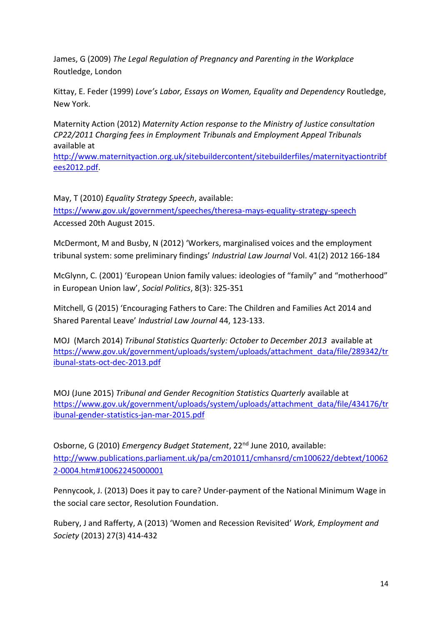James, G (2009) *The Legal Regulation of Pregnancy and Parenting in the Workplace* Routledge, London

Kittay, E. Feder (1999) *Love's Labor, Essays on Women, Equality and Dependency* Routledge, New York.

Maternity Action (2012) *Maternity Action response to the Ministry of Justice consultation CP22/2011 Charging fees in Employment Tribunals and Employment Appeal Tribunals* available at

[http://www.maternityaction.org.uk/sitebuildercontent/sitebuilderfiles/maternityactiontribf](http://www.maternityaction.org.uk/sitebuildercontent/sitebuilderfiles/maternityactiontribfees2012.pdf) [ees2012.pdf.](http://www.maternityaction.org.uk/sitebuildercontent/sitebuilderfiles/maternityactiontribfees2012.pdf)

May, T (2010) *Equality Strategy Speech*, available: <https://www.gov.uk/government/speeches/theresa-mays-equality-strategy-speech> Accessed 20th August 2015.

McDermont, M and Busby, N (2012) 'Workers, marginalised voices and the employment tribunal system: some preliminary findings' *Industrial Law Journal* Vol. 41(2) 2012 166-184

McGlynn, C. (2001) 'European Union family values: ideologies of "family" and "motherhood" in European Union law', *Social Politics*, 8(3): 325-351

Mitchell, G (2015) 'Encouraging Fathers to Care: The Children and Families Act 2014 and Shared Parental Leave' *Industrial Law Journal* 44, 123-133.

MOJ (March 2014) *Tribunal Statistics Quarterly: October to December 2013* available at [https://www.gov.uk/government/uploads/system/uploads/attachment\\_data/file/289342/tr](https://www.gov.uk/government/uploads/system/uploads/attachment_data/file/289342/tribunal-stats-oct-dec-2013.pdf) [ibunal-stats-oct-dec-2013.pdf](https://www.gov.uk/government/uploads/system/uploads/attachment_data/file/289342/tribunal-stats-oct-dec-2013.pdf)

MOJ (June 2015) *Tribunal and Gender Recognition Statistics Quarterly* available at [https://www.gov.uk/government/uploads/system/uploads/attachment\\_data/file/434176/tr](https://www.gov.uk/government/uploads/system/uploads/attachment_data/file/434176/tribunal-gender-statistics-jan-mar-2015.pdf) [ibunal-gender-statistics-jan-mar-2015.pdf](https://www.gov.uk/government/uploads/system/uploads/attachment_data/file/434176/tribunal-gender-statistics-jan-mar-2015.pdf)

Osborne, G (2010) *Emergency Budget Statement*, 22nd June 2010, available: [http://www.publications.parliament.uk/pa/cm201011/cmhansrd/cm100622/debtext/10062](http://www.publications.parliament.uk/pa/cm201011/cmhansrd/cm100622/debtext/100622-0004.htm#10062245000001) [2-0004.htm#10062245000001](http://www.publications.parliament.uk/pa/cm201011/cmhansrd/cm100622/debtext/100622-0004.htm#10062245000001)

Pennycook, J. (2013) Does it pay to care? Under-payment of the National Minimum Wage in the social care sector, Resolution Foundation.

Rubery, J and Rafferty, A (2013) 'Women and Recession Revisited' *Work, Employment and Society* (2013) 27(3) 414-432